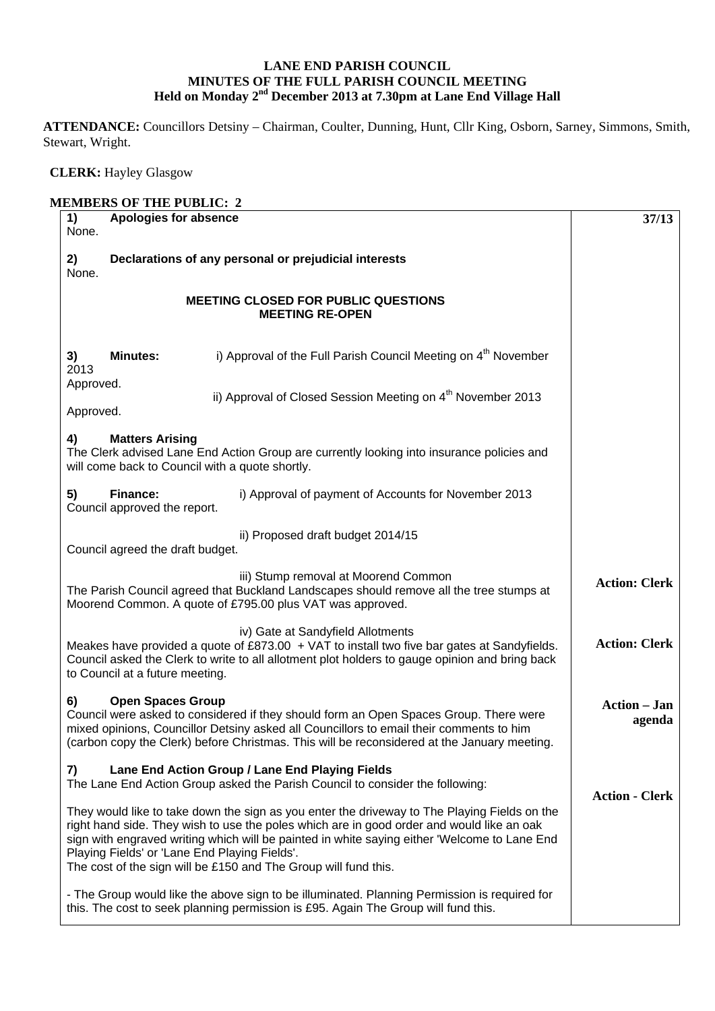## **LANE END PARISH COUNCIL MINUTES OF THE FULL PARISH COUNCIL MEETING Held on Monday 2nd December 2013 at 7.30pm at Lane End Village Hall**

**ATTENDANCE:** Councillors Detsiny – Chairman, Coulter, Dunning, Hunt, Cllr King, Osborn, Sarney, Simmons, Smith, Stewart, Wright.

## **CLERK:** Hayley Glasgow

| 1)<br>None.                   | Apologies for absence                                                                                                                                                                                                                                                                                                                                                                                         | 37/13                         |
|-------------------------------|---------------------------------------------------------------------------------------------------------------------------------------------------------------------------------------------------------------------------------------------------------------------------------------------------------------------------------------------------------------------------------------------------------------|-------------------------------|
| 2)<br>None.                   | Declarations of any personal or prejudicial interests                                                                                                                                                                                                                                                                                                                                                         |                               |
|                               | <b>MEETING CLOSED FOR PUBLIC QUESTIONS</b><br><b>MEETING RE-OPEN</b>                                                                                                                                                                                                                                                                                                                                          |                               |
| <b>Minutes:</b><br>3)<br>2013 | i) Approval of the Full Parish Council Meeting on $4th$ November                                                                                                                                                                                                                                                                                                                                              |                               |
| Approved.<br>Approved.        | ii) Approval of Closed Session Meeting on 4 <sup>th</sup> November 2013                                                                                                                                                                                                                                                                                                                                       |                               |
| 4)                            | <b>Matters Arising</b><br>The Clerk advised Lane End Action Group are currently looking into insurance policies and<br>will come back to Council with a quote shortly.                                                                                                                                                                                                                                        |                               |
| Finance:<br>5)                | i) Approval of payment of Accounts for November 2013<br>Council approved the report.                                                                                                                                                                                                                                                                                                                          |                               |
|                               | ii) Proposed draft budget 2014/15<br>Council agreed the draft budget.                                                                                                                                                                                                                                                                                                                                         |                               |
|                               | iii) Stump removal at Moorend Common<br>The Parish Council agreed that Buckland Landscapes should remove all the tree stumps at<br>Moorend Common. A quote of £795.00 plus VAT was approved.                                                                                                                                                                                                                  | <b>Action: Clerk</b>          |
|                               | iv) Gate at Sandyfield Allotments<br>Meakes have provided a quote of $£873.00 + VAT$ to install two five bar gates at Sandyfields.<br>Council asked the Clerk to write to all allotment plot holders to gauge opinion and bring back<br>to Council at a future meeting.                                                                                                                                       | <b>Action: Clerk</b>          |
| 6)                            | <b>Open Spaces Group</b><br>Council were asked to considered if they should form an Open Spaces Group. There were<br>mixed opinions, Councillor Detsiny asked all Councillors to email their comments to him<br>(carbon copy the Clerk) before Christmas. This will be reconsidered at the January meeting.                                                                                                   | <b>Action – Jan</b><br>agenda |
| 7)                            | Lane End Action Group / Lane End Playing Fields<br>The Lane End Action Group asked the Parish Council to consider the following:                                                                                                                                                                                                                                                                              |                               |
|                               | They would like to take down the sign as you enter the driveway to The Playing Fields on the<br>right hand side. They wish to use the poles which are in good order and would like an oak<br>sign with engraved writing which will be painted in white saying either 'Welcome to Lane End<br>Playing Fields' or 'Lane End Playing Fields'.<br>The cost of the sign will be £150 and The Group will fund this. | <b>Action - Clerk</b>         |
|                               | - The Group would like the above sign to be illuminated. Planning Permission is required for<br>this. The cost to seek planning permission is £95. Again The Group will fund this.                                                                                                                                                                                                                            |                               |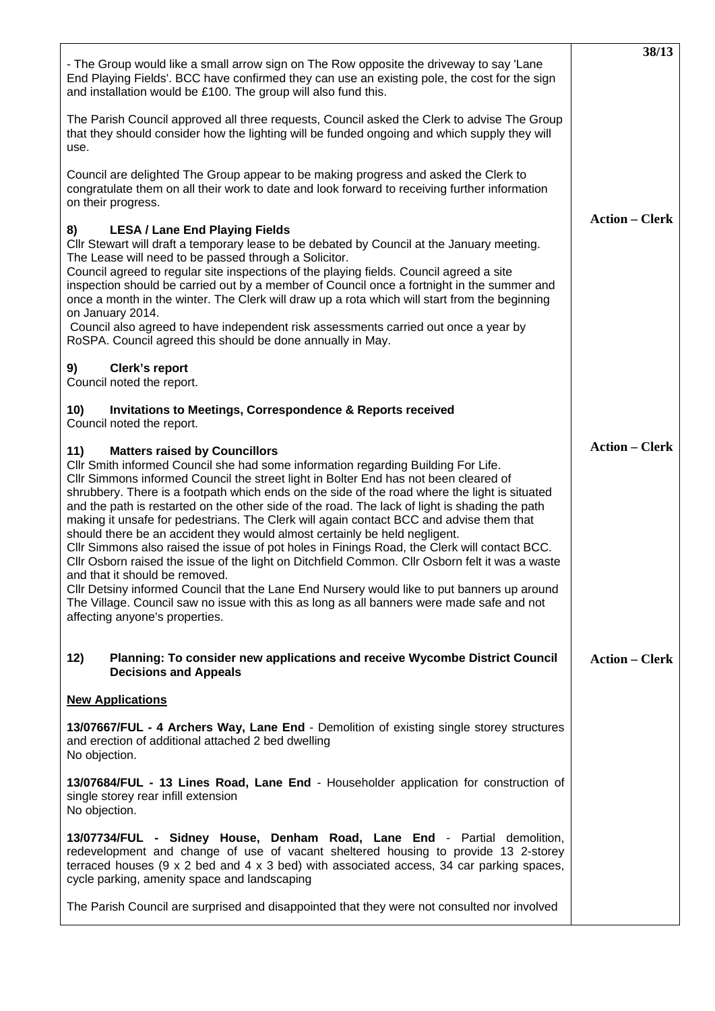| - The Group would like a small arrow sign on The Row opposite the driveway to say 'Lane<br>End Playing Fields'. BCC have confirmed they can use an existing pole, the cost for the sign<br>and installation would be £100. The group will also fund this.                                                                                                                                                                                                                                                                                                                                                                                                                                                                                                                                                                                                                                                                                                                                                                                                               | 38/13                 |
|-------------------------------------------------------------------------------------------------------------------------------------------------------------------------------------------------------------------------------------------------------------------------------------------------------------------------------------------------------------------------------------------------------------------------------------------------------------------------------------------------------------------------------------------------------------------------------------------------------------------------------------------------------------------------------------------------------------------------------------------------------------------------------------------------------------------------------------------------------------------------------------------------------------------------------------------------------------------------------------------------------------------------------------------------------------------------|-----------------------|
| The Parish Council approved all three requests, Council asked the Clerk to advise The Group<br>that they should consider how the lighting will be funded ongoing and which supply they will<br>use.                                                                                                                                                                                                                                                                                                                                                                                                                                                                                                                                                                                                                                                                                                                                                                                                                                                                     |                       |
| Council are delighted The Group appear to be making progress and asked the Clerk to<br>congratulate them on all their work to date and look forward to receiving further information<br>on their progress.                                                                                                                                                                                                                                                                                                                                                                                                                                                                                                                                                                                                                                                                                                                                                                                                                                                              |                       |
| <b>LESA / Lane End Playing Fields</b><br>8)<br>Cllr Stewart will draft a temporary lease to be debated by Council at the January meeting.<br>The Lease will need to be passed through a Solicitor.<br>Council agreed to regular site inspections of the playing fields. Council agreed a site<br>inspection should be carried out by a member of Council once a fortnight in the summer and<br>once a month in the winter. The Clerk will draw up a rota which will start from the beginning<br>on January 2014.<br>Council also agreed to have independent risk assessments carried out once a year by<br>RoSPA. Council agreed this should be done annually in May.                                                                                                                                                                                                                                                                                                                                                                                                   | <b>Action – Clerk</b> |
| 9)<br>Clerk's report<br>Council noted the report.                                                                                                                                                                                                                                                                                                                                                                                                                                                                                                                                                                                                                                                                                                                                                                                                                                                                                                                                                                                                                       |                       |
| 10)<br><b>Invitations to Meetings, Correspondence &amp; Reports received</b><br>Council noted the report.                                                                                                                                                                                                                                                                                                                                                                                                                                                                                                                                                                                                                                                                                                                                                                                                                                                                                                                                                               |                       |
| <b>Matters raised by Councillors</b><br>11)<br>CIIr Smith informed Council she had some information regarding Building For Life.<br>CIIr Simmons informed Council the street light in Bolter End has not been cleared of<br>shrubbery. There is a footpath which ends on the side of the road where the light is situated<br>and the path is restarted on the other side of the road. The lack of light is shading the path<br>making it unsafe for pedestrians. The Clerk will again contact BCC and advise them that<br>should there be an accident they would almost certainly be held negligent.<br>CIIr Simmons also raised the issue of pot holes in Finings Road, the Clerk will contact BCC.<br>Cllr Osborn raised the issue of the light on Ditchfield Common. Cllr Osborn felt it was a waste<br>and that it should be removed.<br>CIIr Detsiny informed Council that the Lane End Nursery would like to put banners up around<br>The Village. Council saw no issue with this as long as all banners were made safe and not<br>affecting anyone's properties. | <b>Action – Clerk</b> |
| Planning: To consider new applications and receive Wycombe District Council<br>12)<br><b>Decisions and Appeals</b>                                                                                                                                                                                                                                                                                                                                                                                                                                                                                                                                                                                                                                                                                                                                                                                                                                                                                                                                                      | <b>Action – Clerk</b> |
| <b>New Applications</b>                                                                                                                                                                                                                                                                                                                                                                                                                                                                                                                                                                                                                                                                                                                                                                                                                                                                                                                                                                                                                                                 |                       |
| 13/07667/FUL - 4 Archers Way, Lane End - Demolition of existing single storey structures<br>and erection of additional attached 2 bed dwelling<br>No objection.                                                                                                                                                                                                                                                                                                                                                                                                                                                                                                                                                                                                                                                                                                                                                                                                                                                                                                         |                       |
| 13/07684/FUL - 13 Lines Road, Lane End - Householder application for construction of<br>single storey rear infill extension<br>No objection.                                                                                                                                                                                                                                                                                                                                                                                                                                                                                                                                                                                                                                                                                                                                                                                                                                                                                                                            |                       |
| 13/07734/FUL - Sidney House, Denham Road, Lane End - Partial demolition,<br>redevelopment and change of use of vacant sheltered housing to provide 13 2-storey<br>terraced houses ( $9 \times 2$ bed and $4 \times 3$ bed) with associated access, 34 car parking spaces,<br>cycle parking, amenity space and landscaping                                                                                                                                                                                                                                                                                                                                                                                                                                                                                                                                                                                                                                                                                                                                               |                       |
| The Parish Council are surprised and disappointed that they were not consulted nor involved                                                                                                                                                                                                                                                                                                                                                                                                                                                                                                                                                                                                                                                                                                                                                                                                                                                                                                                                                                             |                       |